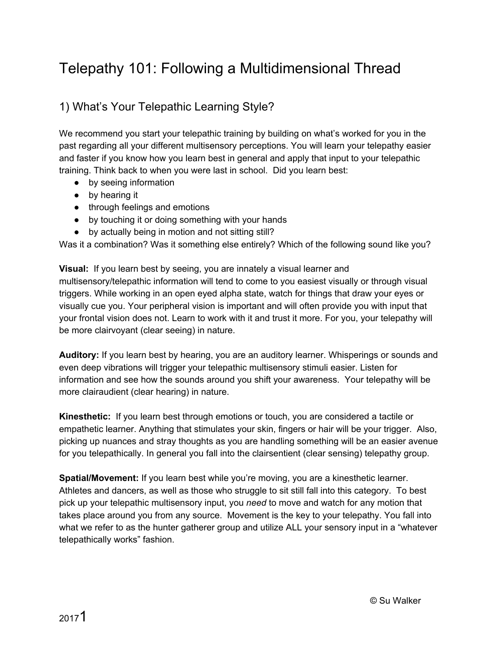# Telepathy 101: Following a Multidimensional Thread

# 1) What's Your Telepathic Learning Style?

We recommend you start your telepathic training by building on what's worked for you in the past regarding all your different multisensory perceptions. You will learn your telepathy easier and faster if you know how you learn best in general and apply that input to your telepathic training. Think back to when you were last in school. Did you learn best:

- by seeing information
- by hearing it
- through feelings and emotions
- by touching it or doing something with your hands
- by actually being in motion and not sitting still?

Was it a combination? Was it something else entirely? Which of the following sound like you?

**Visual:** If you learn best by seeing, you are innately a visual learner and multisensory/telepathic information will tend to come to you easiest visually or through visual triggers. While working in an open eyed alpha state, watch for things that draw your eyes or visually cue you. Your peripheral vision is important and will often provide you with input that your frontal vision does not. Learn to work with it and trust it more. For you, your telepathy will be more clairvoyant (clear seeing) in nature.

**Auditory:** If you learn best by hearing, you are an auditory learner. Whisperings or sounds and even deep vibrations will trigger your telepathic multisensory stimuli easier. Listen for information and see how the sounds around you shift your awareness. Your telepathy will be more clairaudient (clear hearing) in nature.

**Kinesthetic:** If you learn best through emotions or touch, you are considered a tactile or empathetic learner. Anything that stimulates your skin, fingers or hair will be your trigger. Also, picking up nuances and stray thoughts as you are handling something will be an easier avenue for you telepathically. In general you fall into the clairsentient (clear sensing) telepathy group.

**Spatial/Movement:** If you learn best while you're moving, you are a kinesthetic learner. Athletes and dancers, as well as those who struggle to sit still fall into this category. To best pick up your telepathic multisensory input, you *need* to move and watch for any motion that takes place around you from any source. Movement is the key to your telepathy. You fall into what we refer to as the hunter gatherer group and utilize ALL your sensory input in a "whatever telepathically works" fashion.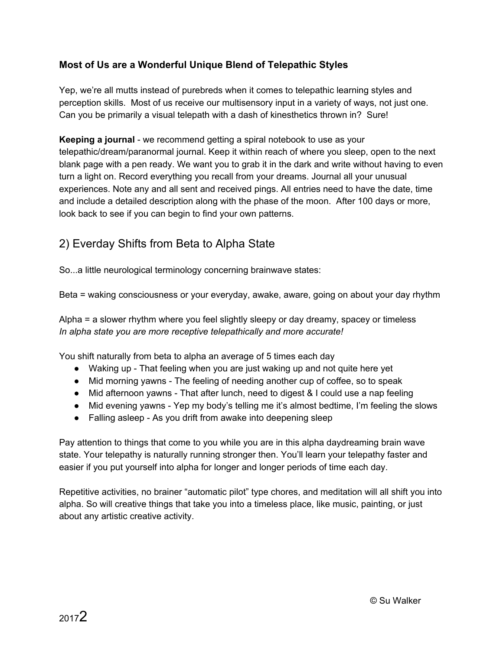#### **Most of Us are a Wonderful Unique Blend of Telepathic Styles**

Yep, we're all mutts instead of purebreds when it comes to telepathic learning styles and perception skills. Most of us receive our multisensory input in a variety of ways, not just one. Can you be primarily a visual telepath with a dash of kinesthetics thrown in? Sure!

**Keeping a journal** - we recommend getting a spiral notebook to use as your telepathic/dream/paranormal journal. Keep it within reach of where you sleep, open to the next blank page with a pen ready. We want you to grab it in the dark and write without having to even turn a light on. Record everything you recall from your dreams. Journal all your unusual experiences. Note any and all sent and received pings. All entries need to have the date, time and include a detailed description along with the phase of the moon. After 100 days or more, look back to see if you can begin to find your own patterns.

## 2) Everday Shifts from Beta to Alpha State

So...a little neurological terminology concerning brainwave states:

Beta = waking consciousness or your everyday, awake, aware, going on about your day rhythm

Alpha = a slower rhythm where you feel slightly sleepy or day dreamy, spacey or timeless *In alpha state you are more receptive telepathically and more accurate!*

You shift naturally from beta to alpha an average of 5 times each day

- Waking up That feeling when you are just waking up and not quite here yet
- Mid morning yawns The feeling of needing another cup of coffee, so to speak
- Mid afternoon yawns That after lunch, need to digest & I could use a nap feeling
- Mid evening yawns Yep my body's telling me it's almost bedtime, I'm feeling the slows
- Falling asleep As you drift from awake into deepening sleep

Pay attention to things that come to you while you are in this alpha daydreaming brain wave state. Your telepathy is naturally running stronger then. You'll learn your telepathy faster and easier if you put yourself into alpha for longer and longer periods of time each day.

Repetitive activities, no brainer "automatic pilot" type chores, and meditation will all shift you into alpha. So will creative things that take you into a timeless place, like music, painting, or just about any artistic creative activity.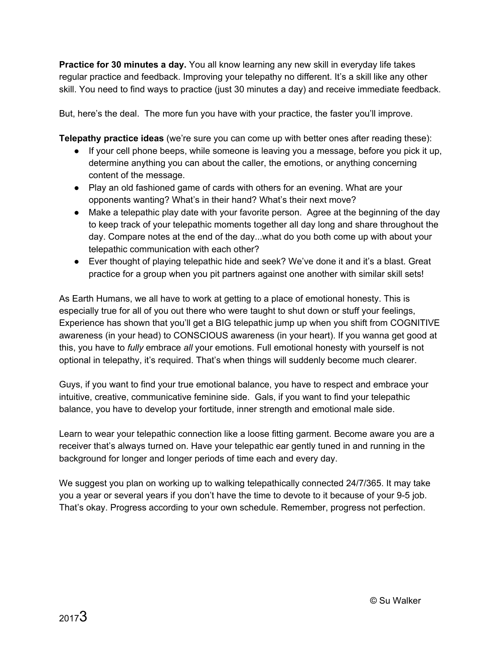**Practice for 30 minutes a day.** You all know learning any new skill in everyday life takes regular practice and feedback. Improving your telepathy no different. It's a skill like any other skill. You need to find ways to practice (just 30 minutes a day) and receive immediate feedback.

But, here's the deal. The more fun you have with your practice, the faster you'll improve.

**Telepathy practice ideas** (we're sure you can come up with better ones after reading these):

- If your cell phone beeps, while someone is leaving you a message, before you pick it up, determine anything you can about the caller, the emotions, or anything concerning content of the message.
- Play an old fashioned game of cards with others for an evening. What are your opponents wanting? What's in their hand? What's their next move?
- Make a telepathic play date with your favorite person. Agree at the beginning of the day to keep track of your telepathic moments together all day long and share throughout the day. Compare notes at the end of the day...what do you both come up with about your telepathic communication with each other?
- Ever thought of playing telepathic hide and seek? We've done it and it's a blast. Great practice for a group when you pit partners against one another with similar skill sets!

As Earth Humans, we all have to work at getting to a place of emotional honesty. This is especially true for all of you out there who were taught to shut down or stuff your feelings, Experience has shown that you'll get a BIG telepathic jump up when you shift from COGNITIVE awareness (in your head) to CONSCIOUS awareness (in your heart). If you wanna get good at this, you have to *fully* embrace *all* your emotions. Full emotional honesty with yourself is not optional in telepathy, it's required. That's when things will suddenly become much clearer.

Guys, if you want to find your true emotional balance, you have to respect and embrace your intuitive, creative, communicative feminine side. Gals, if you want to find your telepathic balance, you have to develop your fortitude, inner strength and emotional male side.

Learn to wear your telepathic connection like a loose fitting garment. Become aware you are a receiver that's always turned on. Have your telepathic ear gently tuned in and running in the background for longer and longer periods of time each and every day.

We suggest you plan on working up to walking telepathically connected 24/7/365. It may take you a year or several years if you don't have the time to devote to it because of your 9-5 job. That's okay. Progress according to your own schedule. Remember, progress not perfection.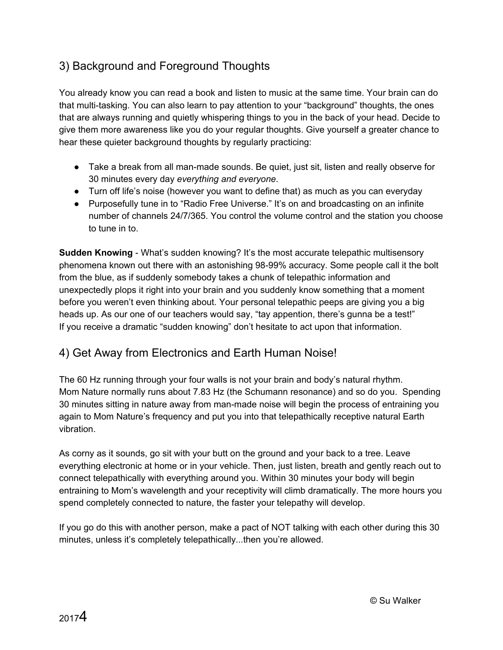# 3) Background and Foreground Thoughts

You already know you can read a book and listen to music at the same time. Your brain can do that multi-tasking. You can also learn to pay attention to your "background" thoughts, the ones that are always running and quietly whispering things to you in the back of your head. Decide to give them more awareness like you do your regular thoughts. Give yourself a greater chance to hear these quieter background thoughts by regularly practicing:

- Take a break from all man-made sounds. Be quiet, just sit, listen and really observe for 30 minutes every day *everything and everyone*.
- Turn off life's noise (however you want to define that) as much as you can everyday
- Purposefully tune in to "Radio Free Universe." It's on and broadcasting on an infinite number of channels 24/7/365. You control the volume control and the station you choose to tune in to.

**Sudden Knowing** - What's sudden knowing? It's the most accurate telepathic multisensory phenomena known out there with an astonishing 98-99% accuracy. Some people call it the bolt from the blue, as if suddenly somebody takes a chunk of telepathic information and unexpectedly plops it right into your brain and you suddenly know something that a moment before you weren't even thinking about. Your personal telepathic peeps are giving you a big heads up. As our one of our teachers would say, "tay appention, there's gunna be a test!" If you receive a dramatic "sudden knowing" don't hesitate to act upon that information.

### 4) Get Away from Electronics and Earth Human Noise!

The 60 Hz running through your four walls is not your brain and body's natural rhythm. Mom Nature normally runs about 7.83 Hz (the Schumann resonance) and so do you. Spending 30 minutes sitting in nature away from man-made noise will begin the process of entraining you again to Mom Nature's frequency and put you into that telepathically receptive natural Earth vibration.

As corny as it sounds, go sit with your butt on the ground and your back to a tree. Leave everything electronic at home or in your vehicle. Then, just listen, breath and gently reach out to connect telepathically with everything around you. Within 30 minutes your body will begin entraining to Mom's wavelength and your receptivity will climb dramatically. The more hours you spend completely connected to nature, the faster your telepathy will develop.

If you go do this with another person, make a pact of NOT talking with each other during this 30 minutes, unless it's completely telepathically...then you're allowed.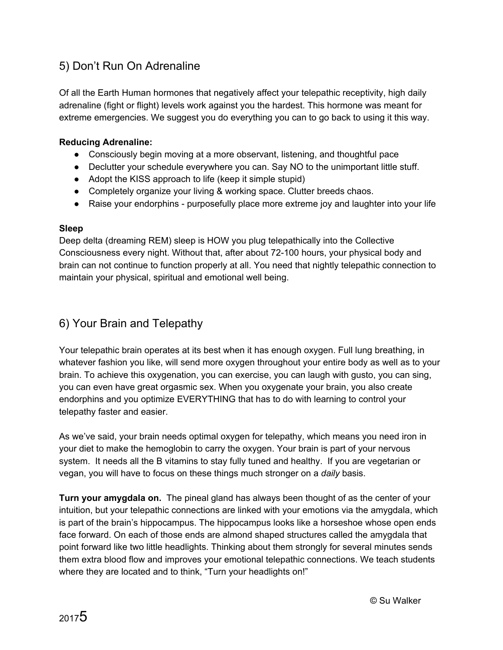## 5) Don't Run On Adrenaline

Of all the Earth Human hormones that negatively affect your telepathic receptivity, high daily adrenaline (fight or flight) levels work against you the hardest. This hormone was meant for extreme emergencies. We suggest you do everything you can to go back to using it this way.

#### **Reducing Adrenaline:**

- Consciously begin moving at a more observant, listening, and thoughtful pace
- Declutter your schedule everywhere you can. Say NO to the unimportant little stuff.
- Adopt the KISS approach to life (keep it simple stupid)
- Completely organize your living & working space. Clutter breeds chaos.
- Raise your endorphins purposefully place more extreme joy and laughter into your life

#### **Sleep**

Deep delta (dreaming REM) sleep is HOW you plug telepathically into the Collective Consciousness every night. Without that, after about 72-100 hours, your physical body and brain can not continue to function properly at all. You need that nightly telepathic connection to maintain your physical, spiritual and emotional well being.

#### 6) Your Brain and Telepathy

Your telepathic brain operates at its best when it has enough oxygen. Full lung breathing, in whatever fashion you like, will send more oxygen throughout your entire body as well as to your brain. To achieve this oxygenation, you can exercise, you can laugh with gusto, you can sing, you can even have great orgasmic sex. When you oxygenate your brain, you also create endorphins and you optimize EVERYTHING that has to do with learning to control your telepathy faster and easier.

As we've said, your brain needs optimal oxygen for telepathy, which means you need iron in your diet to make the hemoglobin to carry the oxygen. Your brain is part of your nervous system. It needs all the B vitamins to stay fully tuned and healthy. If you are vegetarian or vegan, you will have to focus on these things much stronger on a *daily* basis.

**Turn your amygdala on.** The pineal gland has always been thought of as the center of your intuition, but your telepathic connections are linked with your emotions via the amygdala, which is part of the brain's hippocampus. The hippocampus looks like a horseshoe whose open ends face forward. On each of those ends are almond shaped structures called the amygdala that point forward like two little headlights. Thinking about them strongly for several minutes sends them extra blood flow and improves your emotional telepathic connections. We teach students where they are located and to think, "Turn your headlights on!"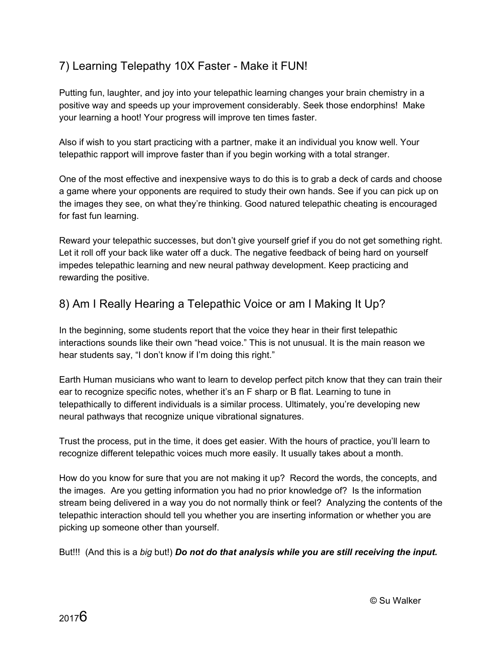# 7) Learning Telepathy 10X Faster - Make it FUN!

Putting fun, laughter, and joy into your telepathic learning changes your brain chemistry in a positive way and speeds up your improvement considerably. Seek those endorphins! Make your learning a hoot! Your progress will improve ten times faster.

Also if wish to you start practicing with a partner, make it an individual you know well. Your telepathic rapport will improve faster than if you begin working with a total stranger.

One of the most effective and inexpensive ways to do this is to grab a deck of cards and choose a game where your opponents are required to study their own hands. See if you can pick up on the images they see, on what they're thinking. Good natured telepathic cheating is encouraged for fast fun learning.

Reward your telepathic successes, but don't give yourself grief if you do not get something right. Let it roll off your back like water off a duck. The negative feedback of being hard on yourself impedes telepathic learning and new neural pathway development. Keep practicing and rewarding the positive.

### 8) Am I Really Hearing a Telepathic Voice or am I Making It Up?

In the beginning, some students report that the voice they hear in their first telepathic interactions sounds like their own "head voice." This is not unusual. It is the main reason we hear students say, "I don't know if I'm doing this right."

Earth Human musicians who want to learn to develop perfect pitch know that they can train their ear to recognize specific notes, whether it's an F sharp or B flat. Learning to tune in telepathically to different individuals is a similar process. Ultimately, you're developing new neural pathways that recognize unique vibrational signatures.

Trust the process, put in the time, it does get easier. With the hours of practice, you'll learn to recognize different telepathic voices much more easily. It usually takes about a month.

How do you know for sure that you are not making it up? Record the words, the concepts, and the images. Are you getting information you had no prior knowledge of? Is the information stream being delivered in a way you do not normally think or feel? Analyzing the contents of the telepathic interaction should tell you whether you are inserting information or whether you are picking up someone other than yourself.

But!!! (And this is a *big* but!) *Do not do that analysis while you are still receiving the input.*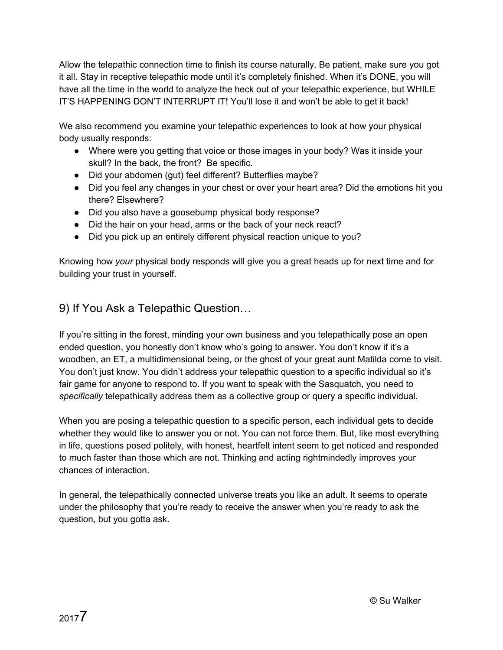Allow the telepathic connection time to finish its course naturally. Be patient, make sure you got it all. Stay in receptive telepathic mode until it's completely finished. When it's DONE, you will have all the time in the world to analyze the heck out of your telepathic experience, but WHILE IT'S HAPPENING DON'T INTERRUPT IT! You'll lose it and won't be able to get it back!

We also recommend you examine your telepathic experiences to look at how your physical body usually responds:

- Where were you getting that voice or those images in your body? Was it inside your skull? In the back, the front? Be specific.
- Did your abdomen (gut) feel different? Butterflies maybe?
- Did you feel any changes in your chest or over your heart area? Did the emotions hit you there? Elsewhere?
- Did you also have a goosebump physical body response?
- Did the hair on your head, arms or the back of your neck react?
- Did you pick up an entirely different physical reaction unique to you?

Knowing how *your* physical body responds will give you a great heads up for next time and for building your trust in yourself.

## 9) If You Ask a Telepathic Question…

If you're sitting in the forest, minding your own business and you telepathically pose an open ended question, you honestly don't know who's going to answer. You don't know if it's a woodben, an ET, a multidimensional being, or the ghost of your great aunt Matilda come to visit. You don't just know. You didn't address your telepathic question to a specific individual so it's fair game for anyone to respond to. If you want to speak with the Sasquatch, you need to *specifically* telepathically address them as a collective group or query a specific individual.

When you are posing a telepathic question to a specific person, each individual gets to decide whether they would like to answer you or not. You can not force them. But, like most everything in life, questions posed politely, with honest, heartfelt intent seem to get noticed and responded to much faster than those which are not. Thinking and acting rightmindedly improves your chances of interaction.

In general, the telepathically connected universe treats you like an adult. It seems to operate under the philosophy that you're ready to receive the answer when you're ready to ask the question, but you gotta ask.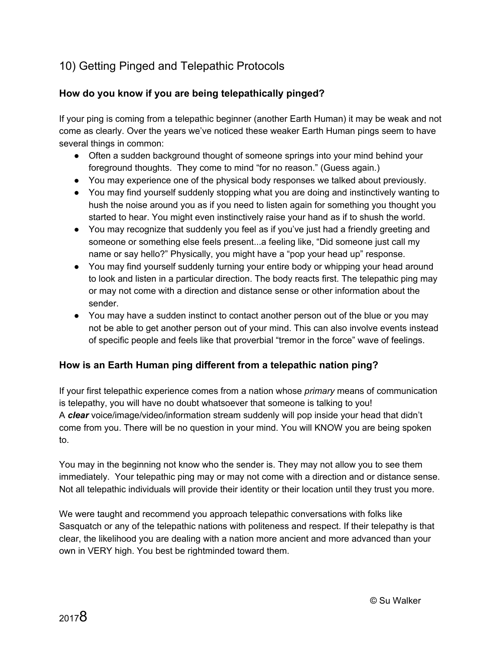# 10) Getting Pinged and Telepathic Protocols

#### **How do you know if you are being telepathically pinged?**

If your ping is coming from a telepathic beginner (another Earth Human) it may be weak and not come as clearly. Over the years we've noticed these weaker Earth Human pings seem to have several things in common:

- Often a sudden background thought of someone springs into your mind behind your foreground thoughts. They come to mind "for no reason." (Guess again.)
- You may experience one of the physical body responses we talked about previously.
- You may find yourself suddenly stopping what you are doing and instinctively wanting to hush the noise around you as if you need to listen again for something you thought you started to hear. You might even instinctively raise your hand as if to shush the world.
- You may recognize that suddenly you feel as if you've just had a friendly greeting and someone or something else feels present...a feeling like, "Did someone just call my name or say hello?" Physically, you might have a "pop your head up" response.
- You may find yourself suddenly turning your entire body or whipping your head around to look and listen in a particular direction. The body reacts first. The telepathic ping may or may not come with a direction and distance sense or other information about the sender.
- You may have a sudden instinct to contact another person out of the blue or you may not be able to get another person out of your mind. This can also involve events instead of specific people and feels like that proverbial "tremor in the force" wave of feelings.

#### **How is an Earth Human ping different from a telepathic nation ping?**

If your first telepathic experience comes from a nation whose *primary* means of communication is telepathy, you will have no doubt whatsoever that someone is talking to you! A *clear* voice/image/video/information stream suddenly will pop inside your head that didn't come from you. There will be no question in your mind. You will KNOW you are being spoken to.

You may in the beginning not know who the sender is. They may not allow you to see them immediately. Your telepathic ping may or may not come with a direction and or distance sense. Not all telepathic individuals will provide their identity or their location until they trust you more.

We were taught and recommend you approach telepathic conversations with folks like Sasquatch or any of the telepathic nations with politeness and respect. If their telepathy is that clear, the likelihood you are dealing with a nation more ancient and more advanced than your own in VERY high. You best be rightminded toward them.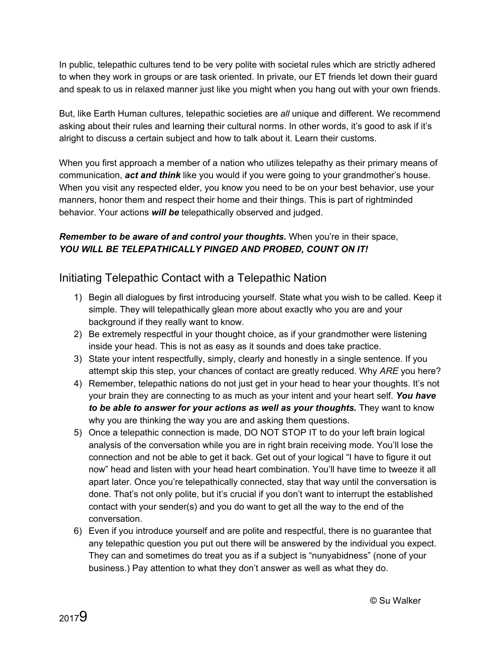In public, telepathic cultures tend to be very polite with societal rules which are strictly adhered to when they work in groups or are task oriented. In private, our ET friends let down their guard and speak to us in relaxed manner just like you might when you hang out with your own friends.

But, like Earth Human cultures, telepathic societies are *all* unique and different. We recommend asking about their rules and learning their cultural norms. In other words, it's good to ask if it's alright to discuss a certain subject and how to talk about it. Learn their customs.

When you first approach a member of a nation who utilizes telepathy as their primary means of communication, *act and think* like you would if you were going to your grandmother's house. When you visit any respected elder, you know you need to be on your best behavior, use your manners, honor them and respect their home and their things. This is part of rightminded behavior. Your actions *will be* telepathically observed and judged.

#### *Remember to be aware of and control your thoughts.* When you're in their space, *YOU WILL BE TELEPATHICALLY PINGED AND PROBED, COUNT ON IT!*

#### Initiating Telepathic Contact with a Telepathic Nation

- 1) Begin all dialogues by first introducing yourself. State what you wish to be called. Keep it simple. They will telepathically glean more about exactly who you are and your background if they really want to know.
- 2) Be extremely respectful in your thought choice, as if your grandmother were listening inside your head. This is not as easy as it sounds and does take practice.
- 3) State your intent respectfully, simply, clearly and honestly in a single sentence. If you attempt skip this step, your chances of contact are greatly reduced. Why *ARE* you here?
- 4) Remember, telepathic nations do not just get in your head to hear your thoughts. It's not your brain they are connecting to as much as your intent and your heart self. *You have to be able to answer for your actions as well as your thoughts.* They want to know why you are thinking the way you are and asking them questions.
- 5) Once a telepathic connection is made, DO NOT STOP IT to do your left brain logical analysis of the conversation while you are in right brain receiving mode. You'll lose the connection and not be able to get it back. Get out of your logical "I have to figure it out now" head and listen with your head heart combination. You'll have time to tweeze it all apart later. Once you're telepathically connected, stay that way until the conversation is done. That's not only polite, but it's crucial if you don't want to interrupt the established contact with your sender(s) and you do want to get all the way to the end of the conversation.
- 6) Even if you introduce yourself and are polite and respectful, there is no guarantee that any telepathic question you put out there will be answered by the individual you expect. They can and sometimes do treat you as if a subject is "nunyabidness" (none of your business.) Pay attention to what they don't answer as well as what they do.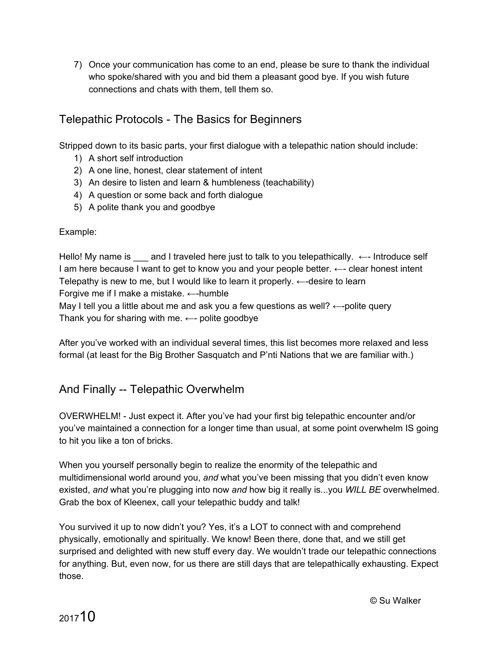7) Once your communication has come to an end, please be sure to thank the individual who spoke/shared with you and bid them a pleasant good bye. If you wish future connections and chats with them, tell them so.

#### Telepathic Protocols - The Basics for Beginners

Stripped down to its basic parts, your first dialogue with a telepathic nation should include:

- 1) A short self introduction
- 2) A one line, honest, clear statement of intent
- 3) An desire to listen and learn & humbleness (teachability)
- 4) A question or some back and forth dialogue
- 5) A polite thank you and goodbye

#### Example:

Hello! My name is \_\_\_ and I traveled here just to talk to you telepathically. ←- Introduce self I am here because I want to get to know you and your people better. ←- clear honest intent Telepathy is new to me, but I would like to learn it properly.  $\leftarrow$ -desire to learn Forgive me if I make a mistake.  $\leftarrow$ -humble May I tell you a little about me and ask you a few questions as well?  $\leftarrow$ -polite query Thank you for sharing with me.  $\leftarrow$ - polite goodbye

After you've worked with an individual several times, this list becomes more relaxed and less formal (at least for the Big Brother Sasquatch and P'nti Nations that we are familiar with.)

### And Finally -- Telepathic Overwhelm

OVERWHELM! - Just expect it. After you've had your first big telepathic encounter and/or you've maintained a connection for a longer time than usual, at some point overwhelm IS going to hit you like a ton of bricks.

When you yourself personally begin to realize the enormity of the telepathic and multidimensional world around you, *and* what you've been missing that you didn't even know existed, *and* what you're plugging into now *and* how big it really is...you *WILL BE* overwhelmed. Grab the box of Kleenex, call your telepathic buddy and talk!

You survived it up to now didn't you? Yes, it's a LOT to connect with and comprehend physically, emotionally and spiritually. We know! Been there, done that, and we still get surprised and delighted with new stuff every day. We wouldn't trade our telepathic connections for anything. But, even now, for us there are still days that are telepathically exhausting. Expect those.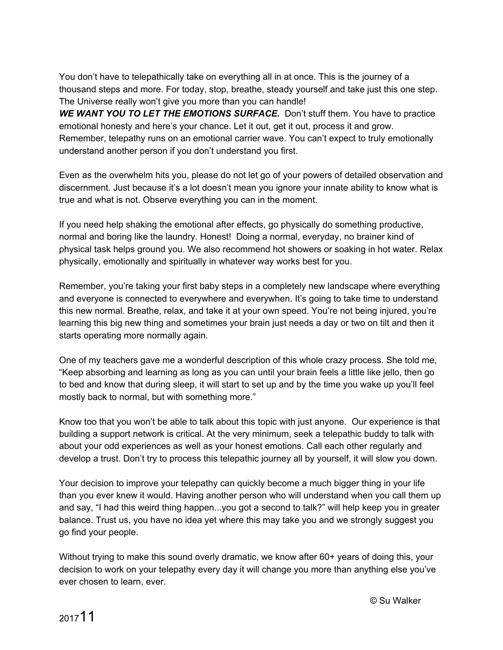You don't have to telepathically take on everything all in at once. This is the journey of a thousand steps and more. For today, stop, breathe, steady yourself and take just this one step. The Universe really won't give you more than you can handle!

**WE WANT YOU TO LET THE EMOTIONS SURFACE.** Don't stuff them. You have to practice emotional honesty and here's your chance. Let it out, get it out, process it and grow. Remember, telepathy runs on an emotional carrier wave. You can't expect to truly emotionally understand another person if you don't understand you first.

Even as the overwhelm hits you, please do not let go of your powers of detailed observation and discernment. Just because it's a lot doesn't mean you ignore your innate ability to know what is true and what is not. Observe everything you can in the moment.

If you need help shaking the emotional after effects, go physically do something productive, normal and boring like the laundry. Honest! Doing a normal, everyday, no brainer kind of physical task helps ground you. We also recommend hot showers or soaking in hot water. Relax physically, emotionally and spiritually in whatever way works best for you.

Remember, you're taking your first baby steps in a completely new landscape where everything and everyone is connected to everywhere and everywhen. It's going to take time to understand this new normal. Breathe, relax, and take it at your own speed. You're not being injured, you're learning this big new thing and sometimes your brain just needs a day or two on tilt and then it starts operating more normally again.

One of my teachers gave me a wonderful description of this whole crazy process. She told me, "Keep absorbing and learning as long as you can until your brain feels a little like jello, then go to bed and know that during sleep, it will start to set up and by the time you wake up you'll feel mostly back to normal, but with something more."

Know too that you won't be able to talk about this topic with just anyone. Our experience is that building a support network is critical. At the very minimum, seek a telepathic buddy to talk with about your odd experiences as well as your honest emotions. Call each other regularly and develop a trust. Don't try to process this telepathic journey all by yourself, it will slow you down.

Your decision to improve your telepathy can quickly become a much bigger thing in your life than you ever knew it would. Having another person who will understand when you call them up and say, "I had this weird thing happen...you got a second to talk?" will help keep you in greater balance. Trust us, you have no idea yet where this may take you and we strongly suggest you go find your people.

Without trying to make this sound overly dramatic, we know after 60+ years of doing this, your decision to work on your telepathy every day it will change you more than anything else you've ever chosen to learn, ever.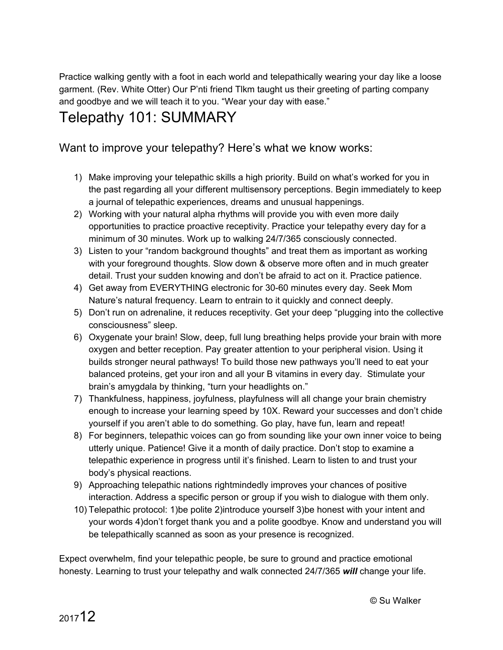Practice walking gently with a foot in each world and telepathically wearing your day like a loose garment. (Rev. White Otter) Our P'nti friend Tlkm taught us their greeting of parting company and goodbye and we will teach it to you. "Wear your day with ease."

# Telepathy 101: SUMMARY

Want to improve your telepathy? Here's what we know works:

- 1) Make improving your telepathic skills a high priority. Build on what's worked for you in the past regarding all your different multisensory perceptions. Begin immediately to keep a journal of telepathic experiences, dreams and unusual happenings.
- 2) Working with your natural alpha rhythms will provide you with even more daily opportunities to practice proactive receptivity. Practice your telepathy every day for a minimum of 30 minutes. Work up to walking 24/7/365 consciously connected.
- 3) Listen to your "random background thoughts" and treat them as important as working with your foreground thoughts. Slow down & observe more often and in much greater detail. Trust your sudden knowing and don't be afraid to act on it. Practice patience.
- 4) Get away from EVERYTHING electronic for 30-60 minutes every day. Seek Mom Nature's natural frequency. Learn to entrain to it quickly and connect deeply.
- 5) Don't run on adrenaline, it reduces receptivity. Get your deep "plugging into the collective consciousness" sleep.
- 6) Oxygenate your brain! Slow, deep, full lung breathing helps provide your brain with more oxygen and better reception. Pay greater attention to your peripheral vision. Using it builds stronger neural pathways! To build those new pathways you'll need to eat your balanced proteins, get your iron and all your B vitamins in every day. Stimulate your brain's amygdala by thinking, "turn your headlights on."
- 7) Thankfulness, happiness, joyfulness, playfulness will all change your brain chemistry enough to increase your learning speed by 10X. Reward your successes and don't chide yourself if you aren't able to do something. Go play, have fun, learn and repeat!
- 8) For beginners, telepathic voices can go from sounding like your own inner voice to being utterly unique. Patience! Give it a month of daily practice. Don't stop to examine a telepathic experience in progress until it's finished. Learn to listen to and trust your body's physical reactions.
- 9) Approaching telepathic nations rightmindedly improves your chances of positive interaction. Address a specific person or group if you wish to dialogue with them only.
- 10) Telepathic protocol: 1)be polite 2)introduce yourself 3)be honest with your intent and your words 4)don't forget thank you and a polite goodbye. Know and understand you will be telepathically scanned as soon as your presence is recognized.

Expect overwhelm, find your telepathic people, be sure to ground and practice emotional honesty. Learning to trust your telepathy and walk connected 24/7/365 *will* change your life.